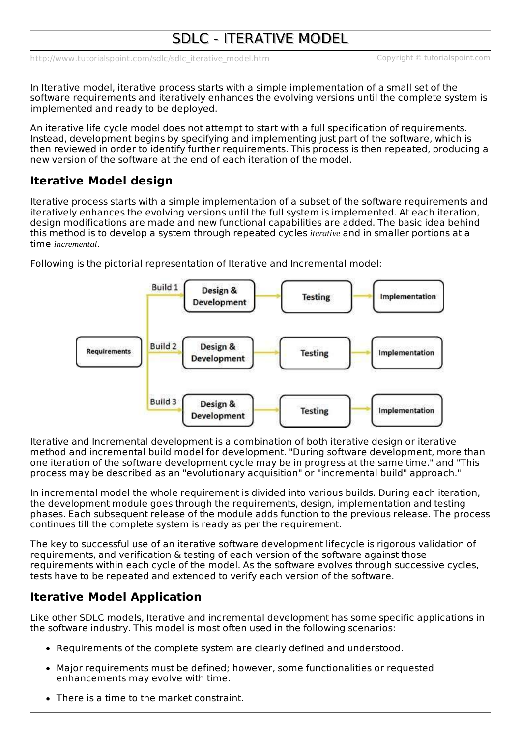# SDLC - ITERATIVE MODEL

[http://www.tutorialspoint.com/sdlc/sdlc\\_iterative\\_model.htm](http://www.tutorialspoint.com/sdlc/sdlc_iterative_model.htm) Copyright © tutorialspoint.com

In Iterative model, iterative process starts with a simple implementation of a small set of the software requirements and iteratively enhances the evolving versions until the complete system is implemented and ready to be deployed.

An iterative life cycle model does not attempt to start with a full specification of requirements. Instead, development begins by specifying and implementing just part of the software, which is then reviewed in order to identify further requirements. This process is then repeated, producing a new version of the software at the end of each iteration of the model.

## **Iterative Model design**

Iterative process starts with a simple implementation of a subset of the software requirements and iteratively enhances the evolving versions until the full system is implemented. At each iteration, design modifications are made and new functional capabilities are added. The basic idea behind this method is to develop a system through repeated cycles *iterative* and in smaller portions at a time *incremental*.



Following is the pictorial representation of Iterative and Incremental model:

Iterative and Incremental development is a combination of both iterative design or iterative method and incremental build model for development. "During software development, more than one iteration of the software development cycle may be in progress at the same time." and "This process may be described as an "evolutionary acquisition" or "incremental build" approach."

In incremental model the whole requirement is divided into various builds. During each iteration, the development module goes through the requirements, design, implementation and testing phases. Each subsequent release of the module adds function to the previous release. The process continues till the complete system is ready as per the requirement.

The key to successful use of an iterative software development lifecycle is rigorous validation of requirements, and verification & testing of each version of the software against those requirements within each cycle of the model. As the software evolves through successive cycles, tests have to be repeated and extended to verify each version of the software.

## **Iterative Model Application**

Like other SDLC models, Iterative and incremental development has some specific applications in the software industry. This model is most often used in the following scenarios:

- Requirements of the complete system are clearly defined and understood.
- Major requirements must be defined; however, some functionalities or requested enhancements may evolve with time.
- There is a time to the market constraint.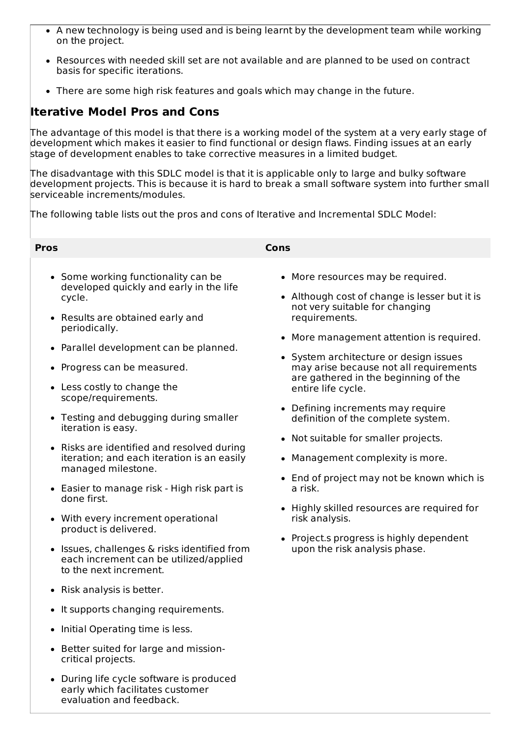- A new technology is being used and is being learnt by the development team while working on the project.
- Resources with needed skill set are not available and are planned to be used on contract basis for specific iterations.
- There are some high risk features and goals which may change in the future.

#### **Iterative Model Pros and Cons**

The advantage of this model is that there is a working model of the system at a very early stage of development which makes it easier to find functional or design flaws. Finding issues at an early stage of development enables to take corrective measures in a limited budget.

The disadvantage with this SDLC model is that it is applicable only to large and bulky software development projects. This is because it is hard to break a small software system into further small serviceable increments/modules.

The following table lists out the pros and cons of Iterative and Incremental SDLC Model:

- Some working functionality can be developed quickly and early in the life cycle.
- Results are obtained early and periodically.
- Parallel development can be planned.
- Progress can be measured.
- Less costly to change the scope/requirements.
- Testing and debugging during smaller iteration is easy.
- Risks are identified and resolved during iteration; and each iteration is an easily managed milestone.
- Easier to manage risk High risk part is done first.
- With every increment operational product is delivered.
- **ISSUES, challenges & risks identified from** each increment can be utilized/applied to the next increment.
- Risk analysis is better.
- It supports changing requirements.
- Initial Operating time is less.
- Better suited for large and missioncritical projects.
- During life cycle software is produced early which facilitates customer evaluation and feedback.

#### **Pros Cons**

- More resources may be required.
- Although cost of change is lesser but it is not very suitable for changing requirements.
- More management attention is required.
- System architecture or design issues may arise because not all requirements are gathered in the beginning of the entire life cycle.
- Defining increments may require definition of the complete system.
- Not suitable for smaller projects.
- Management complexity is more.
- End of project may not be known which is a risk.
- Highly skilled resources are required for risk analysis.
- Project.s progress is highly dependent upon the risk analysis phase.